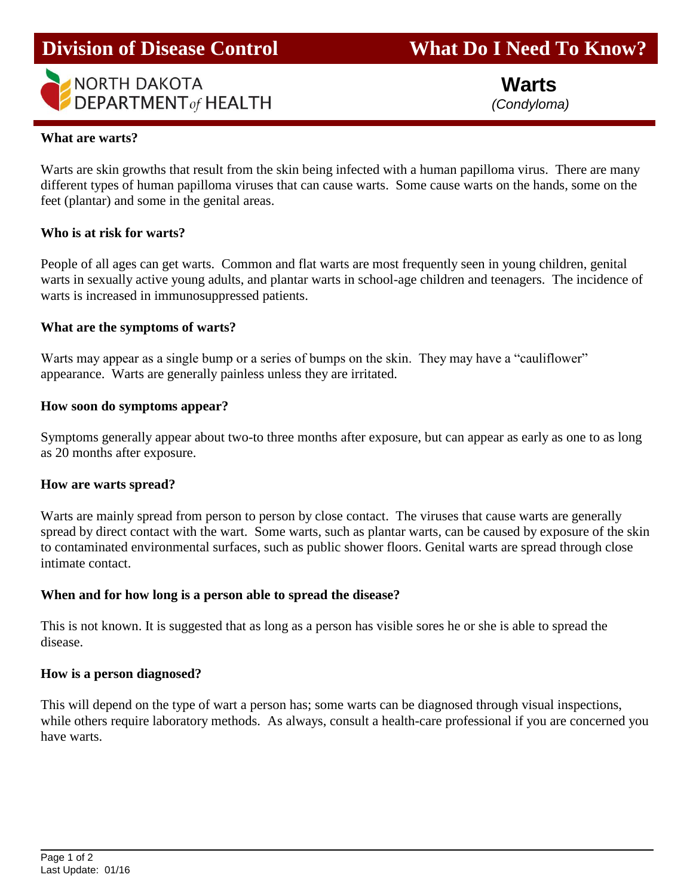

**Division of Disease Control What Do I Need To Know?** 

**Warts**

# **What are warts?**

i.

Warts are skin growths that result from the skin being infected with a human papilloma virus. There are many different types of human papilloma viruses that can cause warts. Some cause warts on the hands, some on the feet (plantar) and some in the genital areas.

## **Who is at risk for warts?**

People of all ages can get warts. Common and flat warts are most frequently seen in young children, genital warts in sexually active young adults, and plantar warts in school-age children and teenagers. The incidence of warts is increased in immunosuppressed patients.

## **What are the symptoms of warts?**

Warts may appear as a single bump or a series of bumps on the skin. They may have a "cauliflower" appearance. Warts are generally painless unless they are irritated.

## **How soon do symptoms appear?**

Symptoms generally appear about two-to three months after exposure, but can appear as early as one to as long as 20 months after exposure.

## **How are warts spread?**

Warts are mainly spread from person to person by close contact. The viruses that cause warts are generally spread by direct contact with the wart. Some warts, such as plantar warts, can be caused by exposure of the skin to contaminated environmental surfaces, such as public shower floors. Genital warts are spread through close intimate contact.

## **When and for how long is a person able to spread the disease?**

This is not known. It is suggested that as long as a person has visible sores he or she is able to spread the disease.

### **How is a person diagnosed?**

This will depend on the type of wart a person has; some warts can be diagnosed through visual inspections, while others require laboratory methods. As always, consult a health-care professional if you are concerned you have warts.